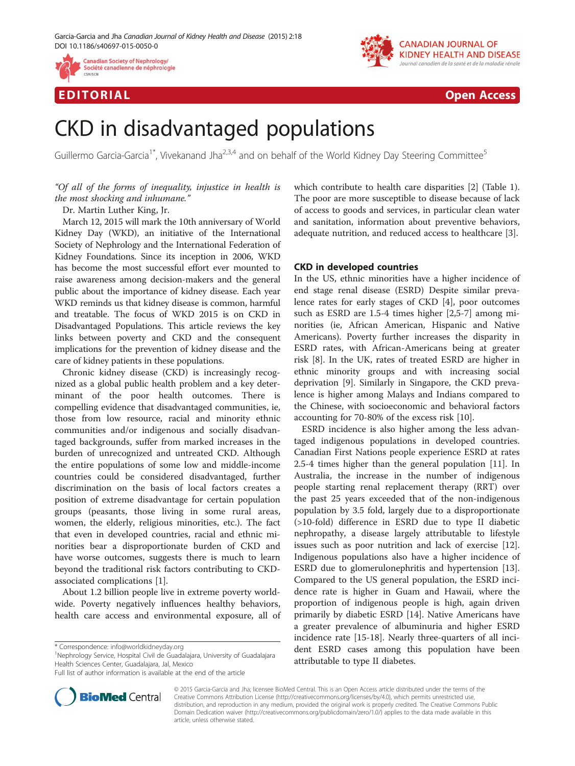



EDI TORIA L Open Access

# CKD in disadvantaged populations

Guillermo Garcia-Garcia<sup>1\*</sup>, Vivekanand Jha<sup>2,3,4</sup> and on behalf of the World Kidney Day Steering Committee<sup>5</sup>

# "Of all of the forms of inequality, injustice in health is the most shocking and inhumane."

Dr. Martin Luther King, Jr.

March 12, 2015 will mark the 10th anniversary of World Kidney Day (WKD), an initiative of the International Society of Nephrology and the International Federation of Kidney Foundations. Since its inception in 2006, WKD has become the most successful effort ever mounted to raise awareness among decision-makers and the general public about the importance of kidney disease. Each year WKD reminds us that kidney disease is common, harmful and treatable. The focus of WKD 2015 is on CKD in Disadvantaged Populations. This article reviews the key links between poverty and CKD and the consequent implications for the prevention of kidney disease and the care of kidney patients in these populations.

Chronic kidney disease (CKD) is increasingly recognized as a global public health problem and a key determinant of the poor health outcomes. There is compelling evidence that disadvantaged communities, ie, those from low resource, racial and minority ethnic communities and/or indigenous and socially disadvantaged backgrounds, suffer from marked increases in the burden of unrecognized and untreated CKD. Although the entire populations of some low and middle-income countries could be considered disadvantaged, further discrimination on the basis of local factors creates a position of extreme disadvantage for certain population groups (peasants, those living in some rural areas, women, the elderly, religious minorities, etc.). The fact that even in developed countries, racial and ethnic minorities bear a disproportionate burden of CKD and have worse outcomes, suggests there is much to learn beyond the traditional risk factors contributing to CKDassociated complications [[1\]](#page-3-0).

About 1.2 billion people live in extreme poverty worldwide. Poverty negatively influences healthy behaviors, health care access and environmental exposure, all of

<sup>1</sup>Nephrology Service, Hospital Civil de Guadalajara, University of Guadalajara Health Sciences Center, Guadalajara, Jal, Mexico

Full list of author information is available at the end of the article



which contribute to health care disparities [[2\]](#page-3-0) (Table [1](#page-1-0)). The poor are more susceptible to disease because of lack of access to goods and services, in particular clean water and sanitation, information about preventive behaviors, adequate nutrition, and reduced access to healthcare [[3\]](#page-3-0).

## CKD in developed countries

In the US, ethnic minorities have a higher incidence of end stage renal disease (ESRD) Despite similar prevalence rates for early stages of CKD [\[4](#page-3-0)], poor outcomes such as ESRD are 1.5-4 times higher [[2](#page-3-0),[5-7\]](#page-3-0) among minorities (ie, African American, Hispanic and Native Americans). Poverty further increases the disparity in ESRD rates, with African-Americans being at greater risk [[8\]](#page-3-0). In the UK, rates of treated ESRD are higher in ethnic minority groups and with increasing social deprivation [\[9](#page-3-0)]. Similarly in Singapore, the CKD prevalence is higher among Malays and Indians compared to the Chinese, with socioeconomic and behavioral factors accounting for 70-80% of the excess risk [\[10](#page-3-0)].

ESRD incidence is also higher among the less advantaged indigenous populations in developed countries. Canadian First Nations people experience ESRD at rates 2.5-4 times higher than the general population [[11](#page-3-0)]. In Australia, the increase in the number of indigenous people starting renal replacement therapy (RRT) over the past 25 years exceeded that of the non-indigenous population by 3.5 fold, largely due to a disproportionate (>10-fold) difference in ESRD due to type II diabetic nephropathy, a disease largely attributable to lifestyle issues such as poor nutrition and lack of exercise [\[12](#page-3-0)]. Indigenous populations also have a higher incidence of ESRD due to glomerulonephritis and hypertension [\[13](#page-3-0)]. Compared to the US general population, the ESRD incidence rate is higher in Guam and Hawaii, where the proportion of indigenous people is high, again driven primarily by diabetic ESRD [\[14](#page-3-0)]. Native Americans have a greater prevalence of albuminuria and higher ESRD incidence rate [[15-18](#page-3-0)]. Nearly three-quarters of all incident ESRD cases among this population have been attributable to type II diabetes.

© 2015 Garcia-Garcia and Jha; licensee BioMed Central. This is an Open Access article distributed under the terms of the Creative Commons Attribution License (<http://creativecommons.org/licenses/by/4.0>), which permits unrestricted use, distribution, and reproduction in any medium, provided the original work is properly credited. The Creative Commons Public Domain Dedication waiver [\(http://creativecommons.org/publicdomain/zero/1.0/\)](http://creativecommons.org/publicdomain/zero/1.0/) applies to the data made available in this article, unless otherwise stated.

<sup>\*</sup> Correspondence: [info@worldkidneyday.org](mailto:info@worldkidneyday.org) <sup>1</sup>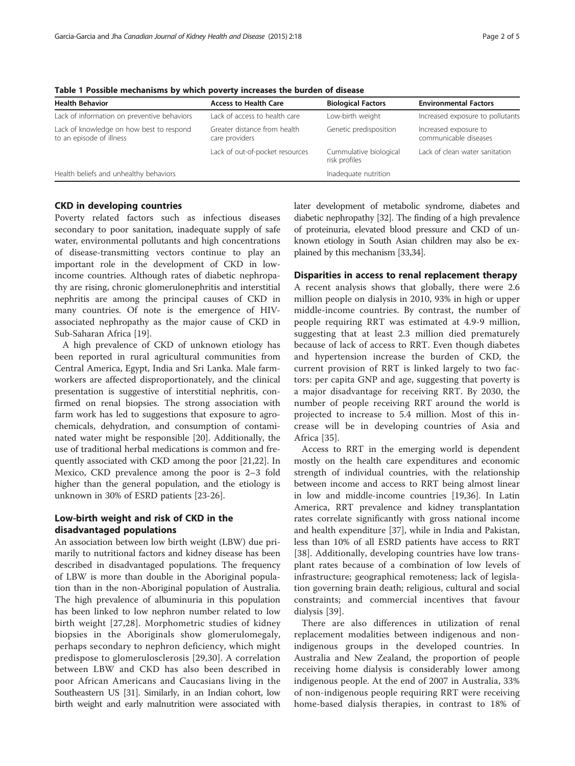| <b>Health Behavior</b>                                               | <b>Access to Health Care</b>                   | <b>Biological Factors</b>               | <b>Environmental Factors</b>                   |
|----------------------------------------------------------------------|------------------------------------------------|-----------------------------------------|------------------------------------------------|
| Lack of information on preventive behaviors                          | Lack of access to health care                  | Low-birth weight                        | Increased exposure to pollutants               |
| Lack of knowledge on how best to respond<br>to an episode of illness | Greater distance from health<br>care providers | Genetic predisposition                  | Increased exposure to<br>communicable diseases |
|                                                                      | Lack of out-of-pocket resources                | Cummulative biological<br>risk profiles | Lack of clean water sanitation                 |
| Health beliefs and unhealthy behaviors                               |                                                | Inadequate nutrition                    |                                                |

<span id="page-1-0"></span>Table 1 Possible mechanisms by which poverty increases the burden of disease

#### CKD in developing countries

Poverty related factors such as infectious diseases secondary to poor sanitation, inadequate supply of safe water, environmental pollutants and high concentrations of disease-transmitting vectors continue to play an important role in the development of CKD in lowincome countries. Although rates of diabetic nephropathy are rising, chronic glomerulonephritis and interstitial nephritis are among the principal causes of CKD in many countries. Of note is the emergence of HIVassociated nephropathy as the major cause of CKD in Sub-Saharan Africa [[19\]](#page-3-0).

A high prevalence of CKD of unknown etiology has been reported in rural agricultural communities from Central America, Egypt, India and Sri Lanka. Male farmworkers are affected disproportionately, and the clinical presentation is suggestive of interstitial nephritis, confirmed on renal biopsies. The strong association with farm work has led to suggestions that exposure to agrochemicals, dehydration, and consumption of contaminated water might be responsible [[20\]](#page-3-0). Additionally, the use of traditional herbal medications is common and frequently associated with CKD among the poor [[21](#page-3-0),[22](#page-3-0)]. In Mexico, CKD prevalence among the poor is 2–3 fold higher than the general population, and the etiology is unknown in 30% of ESRD patients [[23](#page-3-0)-[26\]](#page-3-0).

# Low-birth weight and risk of CKD in the disadvantaged populations

An association between low birth weight (LBW) due primarily to nutritional factors and kidney disease has been described in disadvantaged populations. The frequency of LBW is more than double in the Aboriginal population than in the non-Aboriginal population of Australia. The high prevalence of albuminuria in this population has been linked to low nephron number related to low birth weight [\[27,28](#page-3-0)]. Morphometric studies of kidney biopsies in the Aboriginals show glomerulomegaly, perhaps secondary to nephron deficiency, which might predispose to glomerulosclerosis [\[29,30](#page-3-0)]. A correlation between LBW and CKD has also been described in poor African Americans and Caucasians living in the Southeastern US [\[31](#page-3-0)]. Similarly, in an Indian cohort, low birth weight and early malnutrition were associated with later development of metabolic syndrome, diabetes and diabetic nephropathy [\[32\]](#page-3-0). The finding of a high prevalence of proteinuria, elevated blood pressure and CKD of unknown etiology in South Asian children may also be explained by this mechanism [\[33,34\]](#page-3-0).

## Disparities in access to renal replacement therapy

A recent analysis shows that globally, there were 2.6 million people on dialysis in 2010, 93% in high or upper middle-income countries. By contrast, the number of people requiring RRT was estimated at 4.9-9 million, suggesting that at least 2.3 million died prematurely because of lack of access to RRT. Even though diabetes and hypertension increase the burden of CKD, the current provision of RRT is linked largely to two factors: per capita GNP and age, suggesting that poverty is a major disadvantage for receiving RRT. By 2030, the number of people receiving RRT around the world is projected to increase to 5.4 million. Most of this increase will be in developing countries of Asia and Africa [\[35](#page-4-0)].

Access to RRT in the emerging world is dependent mostly on the health care expenditures and economic strength of individual countries, with the relationship between income and access to RRT being almost linear in low and middle-income countries [\[19](#page-3-0)[,36\]](#page-4-0). In Latin America, RRT prevalence and kidney transplantation rates correlate significantly with gross national income and health expenditure [\[37\]](#page-4-0), while in India and Pakistan, less than 10% of all ESRD patients have access to RRT [[38](#page-4-0)]. Additionally, developing countries have low transplant rates because of a combination of low levels of infrastructure; geographical remoteness; lack of legislation governing brain death; religious, cultural and social constraints; and commercial incentives that favour dialysis [[39\]](#page-4-0).

There are also differences in utilization of renal replacement modalities between indigenous and nonindigenous groups in the developed countries. In Australia and New Zealand, the proportion of people receiving home dialysis is considerably lower among indigenous people. At the end of 2007 in Australia, 33% of non-indigenous people requiring RRT were receiving home-based dialysis therapies, in contrast to 18% of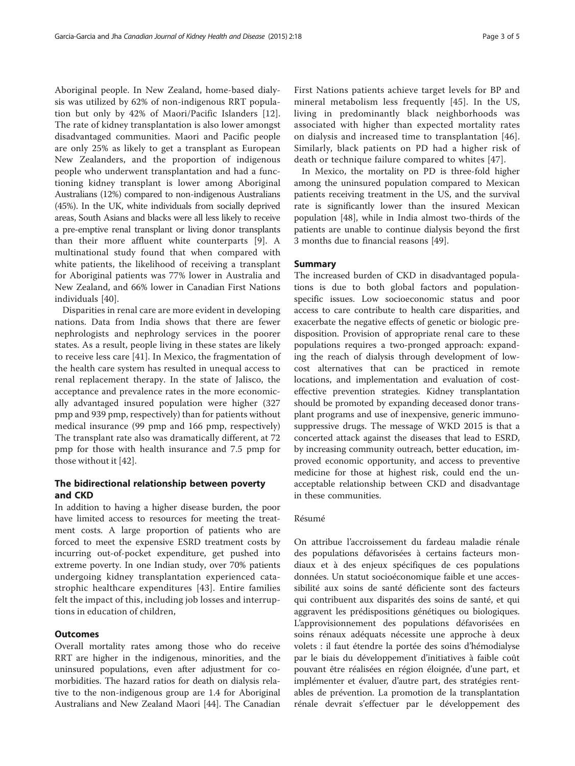Aboriginal people. In New Zealand, home-based dialysis was utilized by 62% of non-indigenous RRT population but only by 42% of Maori/Pacific Islanders [\[12](#page-3-0)]. The rate of kidney transplantation is also lower amongst disadvantaged communities. Maori and Pacific people are only 25% as likely to get a transplant as European New Zealanders, and the proportion of indigenous people who underwent transplantation and had a functioning kidney transplant is lower among Aboriginal Australians (12%) compared to non-indigenous Australians (45%). In the UK, white individuals from socially deprived areas, South Asians and blacks were all less likely to receive a pre-emptive renal transplant or living donor transplants than their more affluent white counterparts [[9\]](#page-3-0). A multinational study found that when compared with white patients, the likelihood of receiving a transplant for Aboriginal patients was 77% lower in Australia and New Zealand, and 66% lower in Canadian First Nations individuals [[40\]](#page-4-0).

Disparities in renal care are more evident in developing nations. Data from India shows that there are fewer nephrologists and nephrology services in the poorer states. As a result, people living in these states are likely to receive less care [[41](#page-4-0)]. In Mexico, the fragmentation of the health care system has resulted in unequal access to renal replacement therapy. In the state of Jalisco, the acceptance and prevalence rates in the more economically advantaged insured population were higher (327 pmp and 939 pmp, respectively) than for patients without medical insurance (99 pmp and 166 pmp, respectively) The transplant rate also was dramatically different, at 72 pmp for those with health insurance and 7.5 pmp for those without it [\[42](#page-4-0)].

# The bidirectional relationship between poverty and CKD

In addition to having a higher disease burden, the poor have limited access to resources for meeting the treatment costs. A large proportion of patients who are forced to meet the expensive ESRD treatment costs by incurring out-of-pocket expenditure, get pushed into extreme poverty. In one Indian study, over 70% patients undergoing kidney transplantation experienced catastrophic healthcare expenditures [[43](#page-4-0)]. Entire families felt the impact of this, including job losses and interruptions in education of children,

## **Outcomes**

Overall mortality rates among those who do receive RRT are higher in the indigenous, minorities, and the uninsured populations, even after adjustment for comorbidities. The hazard ratios for death on dialysis relative to the non-indigenous group are 1.4 for Aboriginal Australians and New Zealand Maori [[44\]](#page-4-0). The Canadian

First Nations patients achieve target levels for BP and mineral metabolism less frequently [[45\]](#page-4-0). In the US, living in predominantly black neighborhoods was associated with higher than expected mortality rates on dialysis and increased time to transplantation [[46](#page-4-0)]. Similarly, black patients on PD had a higher risk of death or technique failure compared to whites [\[47\]](#page-4-0).

In Mexico, the mortality on PD is three-fold higher among the uninsured population compared to Mexican patients receiving treatment in the US, and the survival rate is significantly lower than the insured Mexican population [[48\]](#page-4-0), while in India almost two-thirds of the patients are unable to continue dialysis beyond the first 3 months due to financial reasons [[49\]](#page-4-0).

#### Summary

The increased burden of CKD in disadvantaged populations is due to both global factors and populationspecific issues. Low socioeconomic status and poor access to care contribute to health care disparities, and exacerbate the negative effects of genetic or biologic predisposition. Provision of appropriate renal care to these populations requires a two-pronged approach: expanding the reach of dialysis through development of lowcost alternatives that can be practiced in remote locations, and implementation and evaluation of costeffective prevention strategies. Kidney transplantation should be promoted by expanding deceased donor transplant programs and use of inexpensive, generic immunosuppressive drugs. The message of WKD 2015 is that a concerted attack against the diseases that lead to ESRD, by increasing community outreach, better education, improved economic opportunity, and access to preventive medicine for those at highest risk, could end the unacceptable relationship between CKD and disadvantage in these communities.

## Résumé

On attribue l'accroissement du fardeau maladie rénale des populations défavorisées à certains facteurs mondiaux et à des enjeux spécifiques de ces populations données. Un statut socioéconomique faible et une accessibilité aux soins de santé déficiente sont des facteurs qui contribuent aux disparités des soins de santé, et qui aggravent les prédispositions génétiques ou biologiques. L'approvisionnement des populations défavorisées en soins rénaux adéquats nécessite une approche à deux volets : il faut étendre la portée des soins d'hémodialyse par le biais du développement d'initiatives à faible coût pouvant être réalisées en région éloignée, d'une part, et implémenter et évaluer, d'autre part, des stratégies rentables de prévention. La promotion de la transplantation rénale devrait s'effectuer par le développement des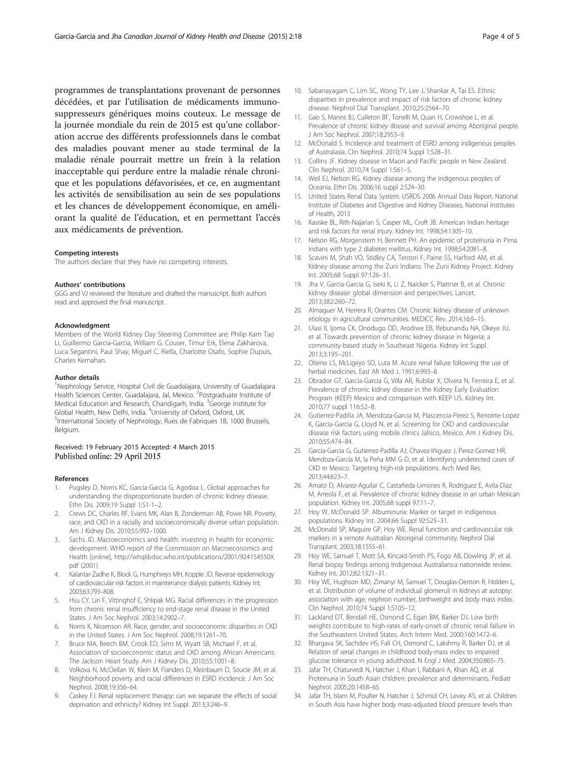<span id="page-3-0"></span>programmes de transplantations provenant de personnes décédées, et par l'utilisation de médicaments immunosuppresseurs génériques moins couteux. Le message de la journée mondiale du rein de 2015 est qu'une collaboration accrue des différents professionnels dans le combat des maladies pouvant mener au stade terminal de la maladie rénale pourrait mettre un frein à la relation inacceptable qui perdure entre la maladie rénale chronique et les populations défavorisées, et ce, en augmentant les activités de sensibilisation au sein de ses populations et les chances de développement économique, en améliorant la qualité de l'éducation, et en permettant l'accès aux médicaments de prévention.

#### Competing interests

The authors declare that they have no competing interests.

#### Authors' contributions

GGG and VJ reviewed the literature and drafted the manuscript. Both authors read and approved the final manuscript.

#### Acknowledgment

Members of the World Kidney Day Steering Committee are: Philip Kam Tao Li, Guillermo Garcia-Garcia, William G. Couser, Timur Erk, Elena Zakharova, Luca Segantini, Paul Shay, Miguel C. Riella, Charlotte Osafo, Sophie Dupuis, Charles Kernahan.

#### Author details

<sup>1</sup>Nephrology Service, Hospital Civil de Guadalajara, University of Guadalajara Health Sciences Center, Guadalajara, Jal, Mexico. <sup>2</sup>Postgraduate Institute of Medical Education and Research, Chandigarh, India. <sup>3</sup>George Institute for Global Health, New Delhi, India. <sup>4</sup>University of Oxford, Oxford, UK.<br><sup>5</sup>International Society of Nephrology, Rues de Eabriques 18, 1000 <sup>5</sup>International Society of Nephrology, Rues de Fabriques 1B, 1000 Brussels, Belgium.

## Received: 19 February 2015 Accepted: 4 March 2015 Published online: 29 April 2015

#### References

- Pugsley D, Norris KC, Garcia-Garcia G, Agodoa L. Global approaches for understanding the disproportionate burden of chronic kidney disease. Ethn Dis. 2009;19 Suppl 1:S1-1–2.
- 2. Crews DC, Charles RF, Evans MK, Alan B, Zonderman AB, Powe NR. Poverty, race, and CKD in a racially and socioeconomically diverse urban population. Am J Kidney Dis. 2010;55:992–1000.
- Sachs JD. Macroeconomics and health: investing in health for economic development. WHO report of the Commission on Macroeconomics and Health [online], [http://whqlibdoc.who.int/publications/2001/924154550X.](http://whqlibdoc.who.int/publications/2001/924154550X.pdf) [pdf](http://whqlibdoc.who.int/publications/2001/924154550X.pdf) (2001)
- 4. Kalantar-Zadhe K, Block G, Humphreys MH, Kopple JD. Reverse epidemiology of cardiovascular risk factors in maintenance dialysis patients. Kidney Int. 2003;63:793–808.
- 5. Hsu CY, Lin F, Vittinghof E, Shlipak MG. Racial differences in the progression from chronic renal insufficiency to end-stage renal disease in the United States. J Am Soc Nephrol. 2003;14:2902–7.
- 6. Norris K, Nissenson AR. Race, gender, and socioeconomic disparities in CKD in the United States. J Am Soc Nephrol. 2008;19:1261–70.
- 7. Bruce MA, Beech BM, Crook ED, Sims M, Wyatt SB, Michael F, et al. Association of socioeconomic status and CKD among African Americans: The Jackson Heart Study. Am J Kidney Dis. 2010;55:1001–8.
- 8. Volkova N, McClellan W, Klein M, Flanders D, Kleinbaum D, Soucie JM, et al. Neighborhood poverty and racial differences in ESRD incidence. J Am Soc Nephrol. 2008;19:356–64.
- 9. Caskey FJ. Renal replacement therapy: can we separate the effects of social deprivation and ethnicity? Kidney Int Suppl. 2013;3:246–9.
- 10. Sabanayagam C, Lim SC, Wong TY, Lee J, Shankar A, Tai ES. Ethnic disparities in prevalence and impact of risk factors of chronic kidney disease. Nephrol Dial Transplant. 2010;25:2564–70.
- 11. Gao S, Manns BJ, Culleton BF, Tonelli M, Quan H, Crowshoe L, et al. Prevalence of chronic kidney disease and survival among Aboriginal people. J Am Soc Nephrol. 2007;18:2953–9.
- 12. McDonald S. Incidence and treatment of ESRD among indigenous peoples of Australasia. Clin Nephrol. 2010;74 Suppl 1:S28–31.
- 13. Collins JF. Kidney disease in Maori and Pacific people in New Zealand. Clin Nephrol. 2010;74 Suppl 1:S61–5.
- 14. Weil EJ, Nelson RG. Kidney disease among the indigenous peoples of Oceania. Ethn Dis. 2006;16 suppl 2:S24–30.
- 15. United States Renal Data System: USRDS 2006 Annual Data Report. National Institute of Diabetes and Digestive and Kidney Diseases, National Institutes of Health, 2013
- 16. Kasiske BL, Rith-Najarian S, Casper ML, Croft JB. American Indian heritage and risk factors for renal injury. Kidney Int. 1998;54:1305–10.
- 17. Nelson RG, Morgenstern H, Bennett PH. An epidemic of proteinuria in Pima Indians with type 2 diabetes mellitus. Kidney Int. 1998;54:2081–8.
- 18. Scavini M, Shah VO, Stidley CA, Tentori F, Paine SS, Harford AM, et al. Kidney disease among the Zuni Indians: The Zuni Kidney Project. Kidney Int. 2005;68 Suppl 97:126–31.
- 19. Jha V, Garcia-Garcia G, Iseki K, Li Z, Naicker S, Plattner B, et al. Chronic kidney disease: global dimension and perspectives. Lancet. 2013;382:260–72.
- 20. Almaguer M, Herrera R, Orantes CM. Chronic kidney disease of unknown etiology in agricultural communities. MEDICC Rev. 2014;16:9–15.
- 21. Ulasi II, Ijoma CK, Onodugo OD, Arodiwe EB, Ifebunandu NA, Okeye JU, et al. Towards prevention of chronic kidney disease in Nigeria; a community-based study in Southeast Nigeria. Kidney Int Suppl. 2013;3:195–201.
- 22. Otieno LS, McLigeyo SO, Luta M. Acute renal failure following the use of herbal medicines. East Afr Med J. 1991;6:993–8.
- 23. Obrador GT, Garcia-Garcia G, Villa AR, Rubilar X, Olvera N, Ferreira E, et al. Prevalence of chronic kidney disease in the Kidney Early Evaluation Program (KEEP) Mexico and comparison with KEEP US. Kidney Int. 2010;77 suppl 116:S2–8.
- 24. Gutierrez-Padilla JA, Mendoza-Garcia M, Plascencia-Perez S, Renoirte-Lopez K, Garcia-Garcia G, Lloyd N, et al. Screening for CKD and cardiovascular disease risk factors using mobile clinics Jalisco, Mexico. Am J Kidney Dis. 2010;55:474–84.
- 25. Garcia-Garcia G, Gutierrez-Padilla AJ, Chavez-Iñiguez J, Perez-Gomez HR, Mendoza-García M, la Peña MM G-D, et al. Identifying undetected cases of CKD in Mexico. Targeting high-risk populations. Arch Med Res. 2013;44:623–7.
- 26. Amato D, Alvarez-Aguilar C, Castañeda-Limones R, Rodriguez E, Avila-Diaz M, Arreola F, et al. Prevalence of chronic kidney disease in an urban Mexican population. Kidney Int. 2005;68 suppl 97:11–7.
- 27. Hoy W, McDonald SP. Albuminuria: Marker or target in indigenous populations. Kidney Int. 2004;66 Suppl 92:S25–31.
- 28. McDonald SP, Maguire GP, Hoy WE. Renal function and cardiovascular risk markers in a remote Australian Aboriginal community. Nephrol Dial Transplant. 2003;18:1555–61.
- 29. Hoy WE, Samuel T, Mott SA, Kincaid-Smith PS, Fogo AB, Dowling JP, et al. Renal biopsy findings among Indigenous Australians:a nationwide review. Kidney Int. 2012;82:1321–31.
- 30. Hoy WE, Hughson MD, Zimanyi M, Samuel T, Douglas-Denton R, Holden L, et al. Distribution of volume of individual glomeruli in kidneys at autopsy: association with age, nephron number, birthweight and body mass index. Clin Nephrol. 2010;74 Suppl 1:S105–12.
- 31. Lackland DT, Bendall HE, Osmond C, Egan BM, Barker DJ. Low birth weights contribute to high-rates of early-onset of chronic renal failure in the Southeastern United States. Arch Intern Med. 2000;160:1472–6.
- 32. Bhargava SK, Sachdev HS, Fall CH, Osmond C, Lakshmy R, Barker DJ, et al. Relation of serial changes in childhood body-mass index to impaired glucose tolerance in young adulthood. N Engl J Med. 2004;350:865–75.
- 33. Jafar TH, Chaturvedi N, Hatcher J, Khan I, Rabbani A, Khan AQ, et al. Proteinuria in South Asian children: prevalence and determinants. Pediatr Nephrol. 2005;20:1458–65.
- 34. Jafar TH, Islam M, Poulter N, Hatcher J, Schmid CH, Levey AS, et al. Children in South Asia have higher body mass-adjusted blood pressure levels than